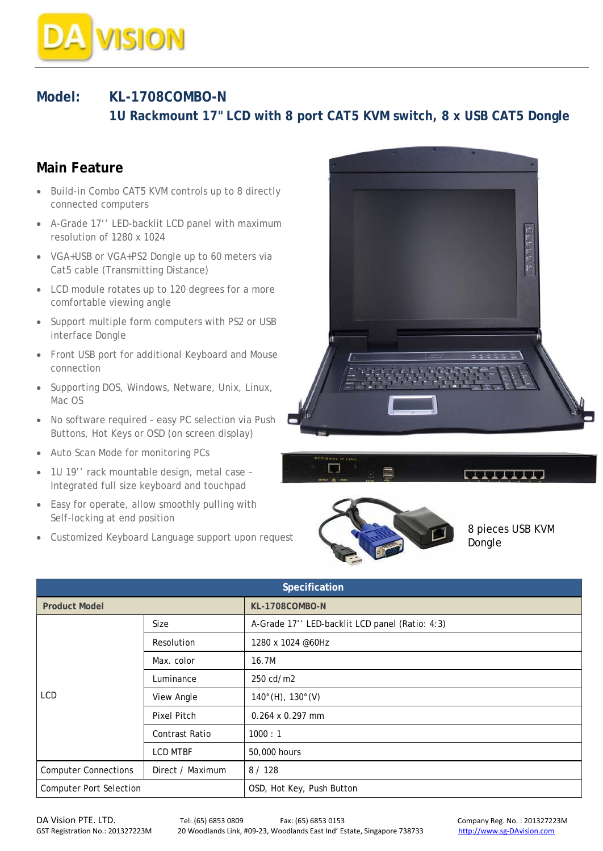

## **Model: KL-1708COMBO-N 1U Rackmount 17" LCD with 8 port CAT5 KVM switch, 8 x USB CAT5 Dongle**

## **Main Feature**

- Build-in Combo CAT5 KVM controls up to 8 directly connected computers
- A-Grade 17'' LED-backlit LCD panel with maximum resolution of 1280 x 1024
- VGA+USB or VGA+PS2 Dongle up to 60 meters via Cat5 cable (Transmitting Distance)
- LCD module rotates up to 120 degrees for a more comfortable viewing angle
- Support multiple form computers with PS2 or USB interface Dongle
- Front USB port for additional Keyboard and Mouse connection
- Supporting DOS, Windows, Netware, Unix, Linux, Mac OS
- No software required easy PC selection via Push Buttons, Hot Keys or OSD (on screen display)
- Auto Scan Mode for monitoring PCs
- 1U 19'' rack mountable design, metal case Integrated full size keyboard and touchpad
- Easy for operate, allow smoothly pulling with Self-locking at end position
- Customized Keyboard Language support upon request







8 pieces USB KVM Dongle

| Specification                  |                  |                                                |  |  |
|--------------------------------|------------------|------------------------------------------------|--|--|
| <b>Product Model</b>           |                  | <b>KL-1708COMBO-N</b>                          |  |  |
| LCD                            | Size             | A-Grade 17" LED-backlit LCD panel (Ratio: 4:3) |  |  |
|                                | Resolution       | 1280 x 1024 @60Hz                              |  |  |
|                                | Max. color       | 16.7M                                          |  |  |
|                                | Luminance        | 250 cd/m2                                      |  |  |
|                                | View Angle       | $140^{\circ}$ (H), $130^{\circ}$ (V)           |  |  |
|                                | Pixel Pitch      | $0.264 \times 0.297$ mm                        |  |  |
|                                | Contrast Ratio   | 1000 : 1                                       |  |  |
|                                | <b>LCD MTBF</b>  | 50,000 hours                                   |  |  |
| <b>Computer Connections</b>    | Direct / Maximum | 8 / 128                                        |  |  |
| <b>Computer Port Selection</b> |                  | OSD, Hot Key, Push Button                      |  |  |